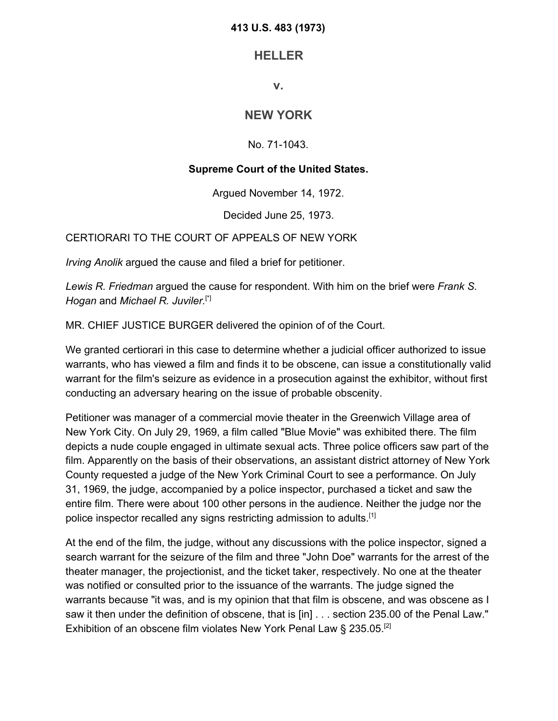## **413 U.S. 483 (1973)**

## **HELLER**

**v.**

## **NEW YORK**

No. 71-1043.

## **Supreme Court of the United States.**

Argued November 14, 1972.

Decided June 25, 1973.

CERTIORARI TO THE COURT OF APPEALS OF NEW YORK

*Irving Anolik* argued the cause and filed a brief for petitioner.

*Lewis R. Friedman* argued the cause for respondent. With him on the brief were *Frank S. Hogan* and *Michael R. Juviler.*[\*]

MR. CHIEF JUSTICE BURGER delivered the opinion of of the Court.

We granted certiorari in this case to determine whether a judicial officer authorized to issue warrants, who has viewed a film and finds it to be obscene, can issue a constitutionally valid warrant for the film's seizure as evidence in a prosecution against the exhibitor, without first conducting an adversary hearing on the issue of probable obscenity.

Petitioner was manager of a commercial movie theater in the Greenwich Village area of New York City. On July 29, 1969, a film called "Blue Movie" was exhibited there. The film depicts a nude couple engaged in ultimate sexual acts. Three police officers saw part of the film. Apparently on the basis of their observations, an assistant district attorney of New York County requested a judge of the New York Criminal Court to see a performance. On July 31, 1969, the judge, accompanied by a police inspector, purchased a ticket and saw the entire film. There were about 100 other persons in the audience. Neither the judge nor the police inspector recalled any signs restricting admission to adults.[1]

At the end of the film, the judge, without any discussions with the police inspector, signed a search warrant for the seizure of the film and three "John Doe" warrants for the arrest of the theater manager, the projectionist, and the ticket taker, respectively. No one at the theater was notified or consulted prior to the issuance of the warrants. The judge signed the warrants because "it was, and is my opinion that that film is obscene, and was obscene as I saw it then under the definition of obscene, that is [in] . . . section 235.00 of the Penal Law." Exhibition of an obscene film violates New York Penal Law § 235.05.<sup>[2]</sup>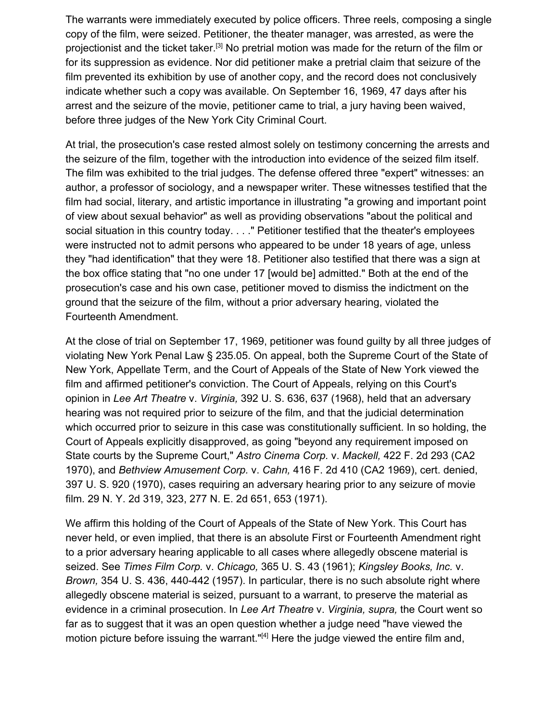The warrants were immediately executed by police officers. Three reels, composing a single copy of the film, were seized. Petitioner, the theater manager, was arrested, as were the projectionist and the ticket taker.[3] No pretrial motion was made for the return of the film or for its suppression as evidence. Nor did petitioner make a pretrial claim that seizure of the film prevented its exhibition by use of another copy, and the record does not conclusively indicate whether such a copy was available. On September 16, 1969, 47 days after his arrest and the seizure of the movie, petitioner came to trial, a jury having been waived, before three judges of the New York City Criminal Court.

At trial, the prosecution's case rested almost solely on testimony concerning the arrests and the seizure of the film, together with the introduction into evidence of the seized film itself. The film was exhibited to the trial judges. The defense offered three "expert" witnesses: an author, a professor of sociology, and a newspaper writer. These witnesses testified that the film had social, literary, and artistic importance in illustrating "a growing and important point of view about sexual behavior" as well as providing observations "about the political and social situation in this country today. . . ." Petitioner testified that the theater's employees were instructed not to admit persons who appeared to be under 18 years of age, unless they "had identification" that they were 18. Petitioner also testified that there was a sign at the box office stating that "no one under 17 [would be] admitted." Both at the end of the prosecution's case and his own case, petitioner moved to dismiss the indictment on the ground that the seizure of the film, without a prior adversary hearing, violated the Fourteenth Amendment.

At the close of trial on September 17, 1969, petitioner was found guilty by all three judges of violating New York Penal Law § 235.05. On appeal, both the Supreme Court of the State of New York, Appellate Term, and the Court of Appeals of the State of New York viewed the film and affirmed petitioner's conviction. The Court of Appeals, relying on this Court's opinion in *Lee Art Theatre* v. *Virginia,* 392 U. S. 636, 637 (1968), held that an adversary hearing was not required prior to seizure of the film, and that the judicial determination which occurred prior to seizure in this case was constitutionally sufficient. In so holding, the Court of Appeals explicitly disapproved, as going "beyond any requirement imposed on State courts by the Supreme Court," *Astro Cinema Corp.* v. *Mackell,* 422 F. 2d 293 (CA2 1970), and *Bethview Amusement Corp.* v. *Cahn,* 416 F. 2d 410 (CA2 1969), cert. denied, 397 U. S. 920 (1970), cases requiring an adversary hearing prior to any seizure of movie film. 29 N. Y. 2d 319, 323, 277 N. E. 2d 651, 653 (1971).

We affirm this holding of the Court of Appeals of the State of New York. This Court has never held, or even implied, that there is an absolute First or Fourteenth Amendment right to a prior adversary hearing applicable to all cases where allegedly obscene material is seized. See *Times Film Corp.* v. *Chicago,* 365 U. S. 43 (1961); *Kingsley Books, Inc.* v. *Brown,* 354 U. S. 436, 440-442 (1957). In particular, there is no such absolute right where allegedly obscene material is seized, pursuant to a warrant, to preserve the material as evidence in a criminal prosecution. In *Lee Art Theatre* v. *Virginia, supra,* the Court went so far as to suggest that it was an open question whether a judge need "have viewed the motion picture before issuing the warrant."<sup>[4]</sup> Here the judge viewed the entire film and,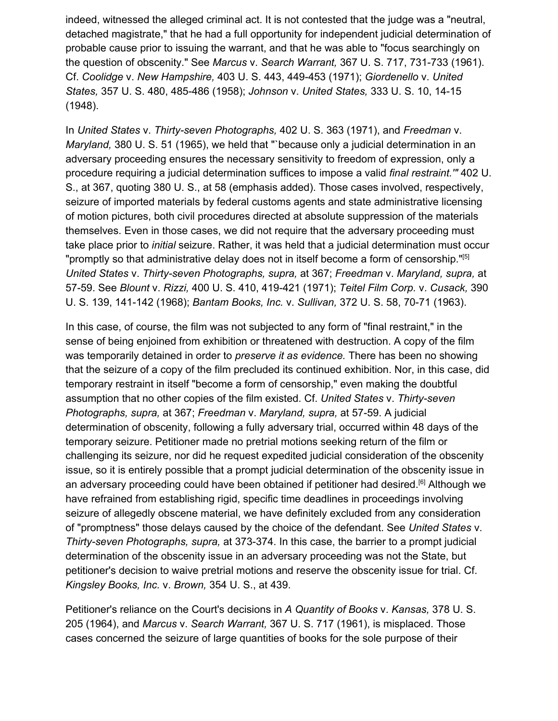indeed, witnessed the alleged criminal act. It is not contested that the judge was a "neutral, detached magistrate," that he had a full opportunity for independent judicial determination of probable cause prior to issuing the warrant, and that he was able to "focus searchingly on the question of obscenity." See *Marcus* v. *Search Warrant,* 367 U. S. 717, 731-733 (1961). Cf. *Coolidge* v. *New Hampshire,* 403 U. S. 443, 449-453 (1971); *Giordenello* v. *United States,* 357 U. S. 480, 485-486 (1958); *Johnson* v. *United States,* 333 U. S. 10, 14-15 (1948).

In *United States* v. *Thirty-seven Photographs,* 402 U. S. 363 (1971), and *Freedman* v. *Maryland,* 380 U. S. 51 (1965), we held that "`because only a judicial determination in an adversary proceeding ensures the necessary sensitivity to freedom of expression, only a procedure requiring a judicial determination suffices to impose a valid *final restraint.'"* 402 U. S., at 367, quoting 380 U. S., at 58 (emphasis added). Those cases involved, respectively, seizure of imported materials by federal customs agents and state administrative licensing of motion pictures, both civil procedures directed at absolute suppression of the materials themselves. Even in those cases, we did not require that the adversary proceeding must take place prior to *initial* seizure. Rather, it was held that a judicial determination must occur "promptly so that administrative delay does not in itself become a form of censorship."<sup>[5]</sup> *United States* v. *Thirty-seven Photographs, supra,* at 367; *Freedman* v. *Maryland, supra,* at 57-59. See *Blount* v. *Rizzi,* 400 U. S. 410, 419-421 (1971); *Teitel Film Corp.* v. *Cusack,* 390 U. S. 139, 141-142 (1968); *Bantam Books, Inc.* v. *Sullivan,* 372 U. S. 58, 70-71 (1963).

In this case, of course, the film was not subjected to any form of "final restraint," in the sense of being enjoined from exhibition or threatened with destruction. A copy of the film was temporarily detained in order to *preserve it as evidence.* There has been no showing that the seizure of a copy of the film precluded its continued exhibition. Nor, in this case, did temporary restraint in itself "become a form of censorship," even making the doubtful assumption that no other copies of the film existed. Cf. *United States* v. *Thirty-seven Photographs, supra,* at 367; *Freedman* v. *Maryland, supra,* at 57-59. A judicial determination of obscenity, following a fully adversary trial, occurred within 48 days of the temporary seizure. Petitioner made no pretrial motions seeking return of the film or challenging its seizure, nor did he request expedited judicial consideration of the obscenity issue, so it is entirely possible that a prompt judicial determination of the obscenity issue in an adversary proceeding could have been obtained if petitioner had desired.<sup>[6]</sup> Although we have refrained from establishing rigid, specific time deadlines in proceedings involving seizure of allegedly obscene material, we have definitely excluded from any consideration of "promptness" those delays caused by the choice of the defendant. See *United States* v. *Thirty-seven Photographs, supra,* at 373-374. In this case, the barrier to a prompt judicial determination of the obscenity issue in an adversary proceeding was not the State, but petitioner's decision to waive pretrial motions and reserve the obscenity issue for trial. Cf. *Kingsley Books, Inc.* v. *Brown,* 354 U. S., at 439.

Petitioner's reliance on the Court's decisions in *A Quantity of Books* v. *Kansas,* 378 U. S. 205 (1964), and *Marcus* v. *Search Warrant,* 367 U. S. 717 (1961), is misplaced. Those cases concerned the seizure of large quantities of books for the sole purpose of their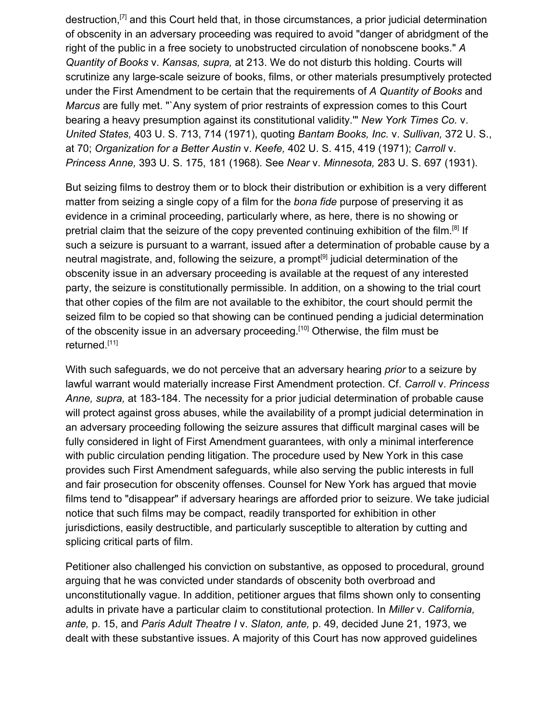destruction, $[7]$  and this Court held that, in those circumstances, a prior judicial determination of obscenity in an adversary proceeding was required to avoid "danger of abridgment of the right of the public in a free society to unobstructed circulation of nonobscene books." *A Quantity of Books* v. *Kansas, supra,* at 213. We do not disturb this holding. Courts will scrutinize any large-scale seizure of books, films, or other materials presumptively protected under the First Amendment to be certain that the requirements of *A Quantity of Books* and *Marcus* are fully met. "`Any system of prior restraints of expression comes to this Court bearing a heavy presumption against its constitutional validity.'" *New York Times Co.* v. *United States,* 403 U. S. 713, 714 (1971), quoting *Bantam Books, Inc.* v. *Sullivan,* 372 U. S., at 70; *Organization for a Better Austin* v. *Keefe,* 402 U. S. 415, 419 (1971); *Carroll* v. *Princess Anne,* 393 U. S. 175, 181 (1968). See *Near* v. *Minnesota,* 283 U. S. 697 (1931).

But seizing films to destroy them or to block their distribution or exhibition is a very different matter from seizing a single copy of a film for the *bona fide* purpose of preserving it as evidence in a criminal proceeding, particularly where, as here, there is no showing or pretrial claim that the seizure of the copy prevented continuing exhibition of the film.<sup>[8]</sup> If such a seizure is pursuant to a warrant, issued after a determination of probable cause by a neutral magistrate, and, following the seizure, a prompt<sup>[9]</sup> judicial determination of the obscenity issue in an adversary proceeding is available at the request of any interested party, the seizure is constitutionally permissible. In addition, on a showing to the trial court that other copies of the film are not available to the exhibitor, the court should permit the seized film to be copied so that showing can be continued pending a judicial determination of the obscenity issue in an adversary proceeding.[10] Otherwise, the film must be returned.<sup>[11]</sup>

With such safeguards, we do not perceive that an adversary hearing *prior* to a seizure by lawful warrant would materially increase First Amendment protection. Cf. *Carroll* v. *Princess Anne, supra,* at 183-184. The necessity for a prior judicial determination of probable cause will protect against gross abuses, while the availability of a prompt judicial determination in an adversary proceeding following the seizure assures that difficult marginal cases will be fully considered in light of First Amendment guarantees, with only a minimal interference with public circulation pending litigation. The procedure used by New York in this case provides such First Amendment safeguards, while also serving the public interests in full and fair prosecution for obscenity offenses. Counsel for New York has argued that movie films tend to "disappear" if adversary hearings are afforded prior to seizure. We take judicial notice that such films may be compact, readily transported for exhibition in other jurisdictions, easily destructible, and particularly susceptible to alteration by cutting and splicing critical parts of film.

Petitioner also challenged his conviction on substantive, as opposed to procedural, ground arguing that he was convicted under standards of obscenity both overbroad and unconstitutionally vague. In addition, petitioner argues that films shown only to consenting adults in private have a particular claim to constitutional protection. In *Miller* v. *California, ante,* p. 15, and *Paris Adult Theatre I* v. *Slaton, ante,* p. 49, decided June 21, 1973, we dealt with these substantive issues. A majority of this Court has now approved guidelines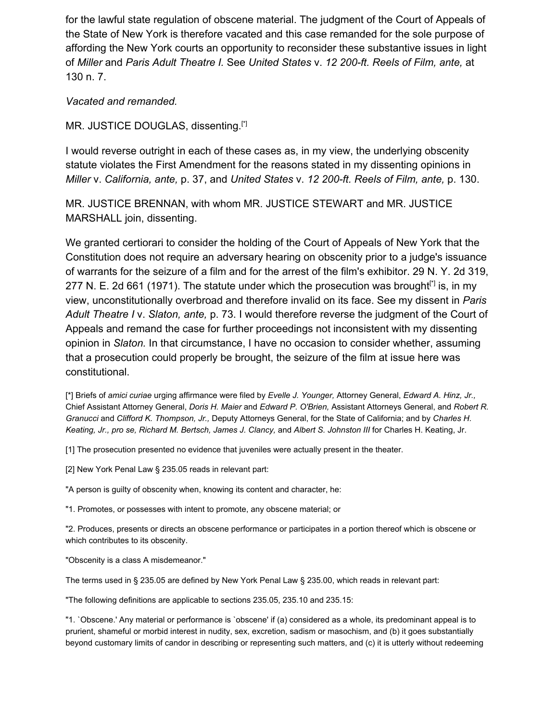for the lawful state regulation of obscene material. The judgment of the Court of Appeals of the State of New York is therefore vacated and this case remanded for the sole purpose of affording the New York courts an opportunity to reconsider these substantive issues in light of *Miller* and *Paris Adult Theatre I.* See *United States* v. *12 200-ft. Reels of Film, ante,* at 130 n. 7.

*Vacated and remanded.*

MR. JUSTICE DOUGLAS, dissenting.<sup>[\*]</sup>

I would reverse outright in each of these cases as, in my view, the underlying obscenity statute violates the First Amendment for the reasons stated in my dissenting opinions in *Miller* v. *California, ante,* p. 37, and *United States* v. *12 200-ft. Reels of Film, ante,* p. 130.

MR. JUSTICE BRENNAN, with whom MR. JUSTICE STEWART and MR. JUSTICE MARSHALL join, dissenting.

We granted certiorari to consider the holding of the Court of Appeals of New York that the Constitution does not require an adversary hearing on obscenity prior to a judge's issuance of warrants for the seizure of a film and for the arrest of the film's exhibitor. 29 N. Y. 2d 319, 277 N. E. 2d 661 (1971). The statute under which the prosecution was brought<sup>[\*]</sup> is, in my view, unconstitutionally overbroad and therefore invalid on its face. See my dissent in *Paris Adult Theatre I* v. *Slaton, ante,* p. 73. I would therefore reverse the judgment of the Court of Appeals and remand the case for further proceedings not inconsistent with my dissenting opinion in *Slaton.* In that circumstance, I have no occasion to consider whether, assuming that a prosecution could properly be brought, the seizure of the film at issue here was constitutional.

[\*] Briefs of *amici curiae* urging affirmance were filed by *Evelle J. Younger,* Attorney General, *Edward A. Hinz, Jr.,* Chief Assistant Attorney General, *Doris H. Maier* and *Edward P. O'Brien,* Assistant Attorneys General, and *Robert R. Granucci* and *Clifford K. Thompson, Jr.,* Deputy Attorneys General, for the State of California; and by *Charles H. Keating, Jr., pro se, Richard M. Bertsch, James J. Clancy,* and *Albert S. Johnston III* for Charles H. Keating, Jr.

[1] The prosecution presented no evidence that juveniles were actually present in the theater.

[2] New York Penal Law § 235.05 reads in relevant part:

"A person is guilty of obscenity when, knowing its content and character, he:

"1. Promotes, or possesses with intent to promote, any obscene material; or

"2. Produces, presents or directs an obscene performance or participates in a portion thereof which is obscene or which contributes to its obscenity.

"Obscenity is a class A misdemeanor."

The terms used in § 235.05 are defined by New York Penal Law § 235.00, which reads in relevant part:

"The following definitions are applicable to sections 235.05, 235.10 and 235.15:

"1. `Obscene.' Any material or performance is `obscene' if (a) considered as a whole, its predominant appeal is to prurient, shameful or morbid interest in nudity, sex, excretion, sadism or masochism, and (b) it goes substantially beyond customary limits of candor in describing or representing such matters, and (c) it is utterly without redeeming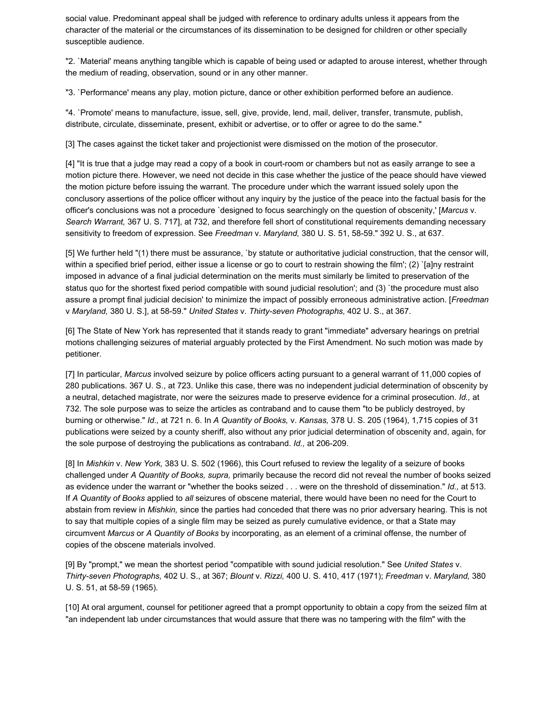social value. Predominant appeal shall be judged with reference to ordinary adults unless it appears from the character of the material or the circumstances of its dissemination to be designed for children or other specially susceptible audience.

"2. `Material' means anything tangible which is capable of being used or adapted to arouse interest, whether through the medium of reading, observation, sound or in any other manner.

"3. `Performance' means any play, motion picture, dance or other exhibition performed before an audience.

"4. `Promote' means to manufacture, issue, sell, give, provide, lend, mail, deliver, transfer, transmute, publish, distribute, circulate, disseminate, present, exhibit or advertise, or to offer or agree to do the same."

[3] The cases against the ticket taker and projectionist were dismissed on the motion of the prosecutor.

[4] "It is true that a judge may read a copy of a book in court-room or chambers but not as easily arrange to see a motion picture there. However, we need not decide in this case whether the justice of the peace should have viewed the motion picture before issuing the warrant. The procedure under which the warrant issued solely upon the conclusory assertions of the police officer without any inquiry by the justice of the peace into the factual basis for the officer's conclusions was not a procedure `designed to focus searchingly on the question of obscenity,' [*Marcus* v. *Search Warrant,* 367 U. S. 717], at 732, and therefore fell short of constitutional requirements demanding necessary sensitivity to freedom of expression. See *Freedman* v. *Maryland,* 380 U. S. 51, 58-59." 392 U. S., at 637.

[5] We further held "(1) there must be assurance, `by statute or authoritative judicial construction, that the censor will, within a specified brief period, either issue a license or go to court to restrain showing the film'; (2) `[a]ny restraint imposed in advance of a final judicial determination on the merits must similarly be limited to preservation of the status quo for the shortest fixed period compatible with sound judicial resolution'; and (3) `the procedure must also assure a prompt final judicial decision' to minimize the impact of possibly erroneous administrative action. [*Freedman* v *Maryland,* 380 U. S.], at 58-59." *United States* v. *Thirty-seven Photographs,* 402 U. S., at 367.

[6] The State of New York has represented that it stands ready to grant "immediate" adversary hearings on pretrial motions challenging seizures of material arguably protected by the First Amendment. No such motion was made by petitioner.

[7] In particular, *Marcus* involved seizure by police officers acting pursuant to a general warrant of 11,000 copies of 280 publications. 367 U. S., at 723. Unlike this case, there was no independent judicial determination of obscenity by a neutral, detached magistrate, nor were the seizures made to preserve evidence for a criminal prosecution. *Id.,* at 732. The sole purpose was to seize the articles as contraband and to cause them "to be publicly destroyed, by burning or otherwise." *Id.,* at 721 n. 6. In *A Quantity of Books,* v. *Kansas,* 378 U. S. 205 (1964), 1,715 copies of 31 publications were seized by a county sheriff, also without any prior judicial determination of obscenity and, again, for the sole purpose of destroying the publications as contraband. *Id.,* at 206-209.

[8] In *Mishkin* v. *New York,* 383 U. S. 502 (1966), this Court refused to review the legality of a seizure of books challenged under *A Quantity of Books, supra,* primarily because the record did not reveal the number of books seized as evidence under the warrant or "whether the books seized . . . were on the threshold of dissemination." *Id.,* at 513. If *A Quantity of Books* applied to *all* seizures of obscene material, there would have been no need for the Court to abstain from review in *Mishkin,* since the parties had conceded that there was no prior adversary hearing. This is not to say that multiple copies of a single film may be seized as purely cumulative evidence, or that a State may circumvent *Marcus* or *A Quantity of Books* by incorporating, as an element of a criminal offense, the number of copies of the obscene materials involved.

[9] By "prompt," we mean the shortest period "compatible with sound judicial resolution." See *United States* v. *Thirty-seven Photographs,* 402 U. S., at 367; *Blount* v. *Rizzi,* 400 U. S. 410, 417 (1971); *Freedman* v. *Maryland,* 380 U. S. 51, at 58-59 (1965).

[10] At oral argument, counsel for petitioner agreed that a prompt opportunity to obtain a copy from the seized film at "an independent lab under circumstances that would assure that there was no tampering with the film" with the